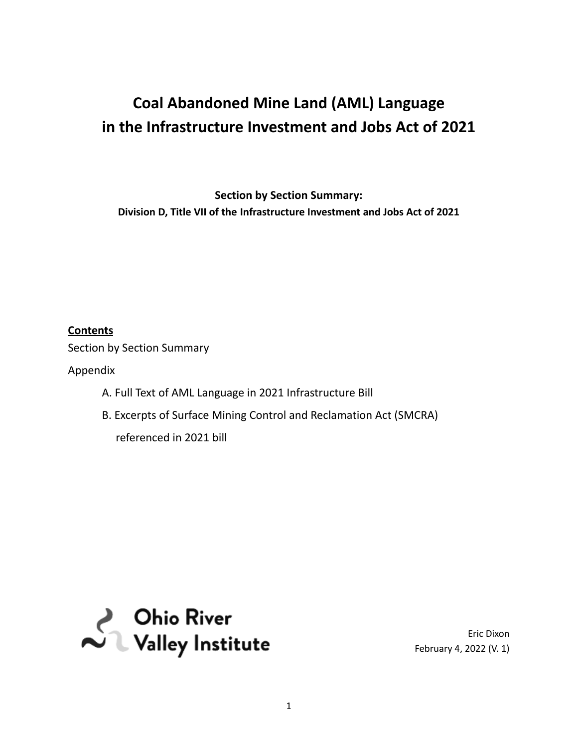# **Coal Abandoned Mine Land (AML) Language in the Infrastructure Investment and Jobs Act of 2021**

**Section by Section Summary: Division D, Title VII of the Infrastructure Investment and Jobs Act of 2021**

# **Contents**

Section by Section Summary

Appendix

- A. Full Text of AML Language in 2021 Infrastructure Bill
- B. Excerpts of Surface Mining Control and Reclamation Act (SMCRA)

referenced in 2021 bill



Eric Dixon February 4, 2022 (V. 1)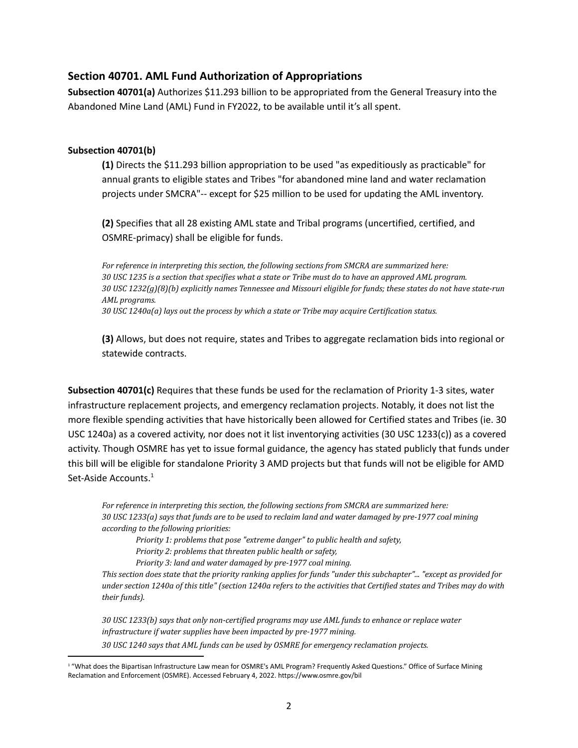# **Section 40701. AML Fund Authorization of Appropriations**

**Subsection 40701(a)** Authorizes \$11.293 billion to be appropriated from the General Treasury into the Abandoned Mine Land (AML) Fund in FY2022, to be available until it's all spent.

### **Subsection 40701(b)**

**(1)** Directs the \$11.293 billion appropriation to be used "as expeditiously as practicable" for annual grants to eligible states and Tribes "for abandoned mine land and water reclamation projects under SMCRA"-- except for \$25 million to be used for updating the AML inventory.

**(2)** Specifies that all 28 existing AML state and Tribal programs (uncertified, certified, and OSMRE-primacy) shall be eligible for funds.

*For reference in interpreting this section, the following sections from SMCRA are summarized here: 30 USC 1235 is a section that specifies what a state or Tribe must do to have an approved AML program. 30 USC 1232(g)(8)(b) explicitly names Tennessee and Missouri eligible for funds; these states do not have state-run AML programs.*

*30 USC 1240a(a) lays out the process by which a state or Tribe may acquire Certification status.*

**(3)** Allows, but does not require, states and Tribes to aggregate reclamation bids into regional or statewide contracts.

**Subsection 40701(c)** Requires that these funds be used for the reclamation of Priority 1-3 sites, water infrastructure replacement projects, and emergency reclamation projects. Notably, it does not list the more flexible spending activities that have historically been allowed for Certified states and Tribes (ie. 30 USC 1240a) as a covered activity, nor does not it list inventorying activities (30 USC 1233(c)) as a covered activity. Though OSMRE has yet to issue formal guidance, the agency has stated publicly that funds under this bill will be eligible for standalone Priority 3 AMD projects but that funds will not be eligible for AMD Set-Aside Accounts. 1

*For reference in interpreting this section, the following sections from SMCRA are summarized here: 30 USC 1233(a) says that funds are to be used to reclaim land and water damaged by pre-1977 coal mining according to the following priorities:*

*Priority 1: problems that pose "extreme danger" to public health and safety, Priority 2: problems that threaten public health or safety,*

*Priority 3: land and water damaged by pre-1977 coal mining.*

*This section does state that the priority ranking applies for funds "under this subchapter"... "except as provided for under section 1240a of this title" (section 1240a refers to the activities that Certified states and Tribes may do with their funds).*

*30 USC 1233(b) says that only non-certified programs may use AML funds to enhance or replace water infrastructure if water supplies have been impacted by pre-1977 mining. 30 USC 1240 says that AML funds can be used by OSMRE for emergency reclamation projects.*

<sup>&</sup>lt;sup>1</sup> "What does the Bipartisan Infrastructure Law mean for OSMRE's AML Program? Frequently Asked Questions." Office of Surface Mining Reclamation and Enforcement (OSMRE). Accessed February 4, 2022. https://www.osmre.gov/bil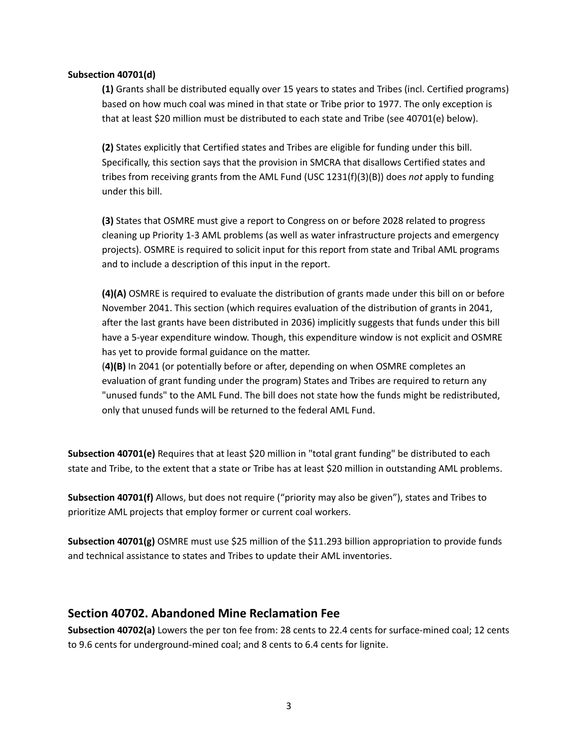### **Subsection 40701(d)**

**(1)** Grants shall be distributed equally over 15 years to states and Tribes (incl. Certified programs) based on how much coal was mined in that state or Tribe prior to 1977. The only exception is that at least \$20 million must be distributed to each state and Tribe (see 40701(e) below).

**(2)** States explicitly that Certified states and Tribes are eligible for funding under this bill. Specifically, this section says that the provision in SMCRA that disallows Certified states and tribes from receiving grants from the AML Fund (USC 1231(f)(3)(B)) does *not* apply to funding under this bill.

**(3)** States that OSMRE must give a report to Congress on or before 2028 related to progress cleaning up Priority 1-3 AML problems (as well as water infrastructure projects and emergency projects). OSMRE is required to solicit input for this report from state and Tribal AML programs and to include a description of this input in the report.

**(4)(A)** OSMRE is required to evaluate the distribution of grants made under this bill on or before November 2041. This section (which requires evaluation of the distribution of grants in 2041, after the last grants have been distributed in 2036) implicitly suggests that funds under this bill have a 5-year expenditure window. Though, this expenditure window is not explicit and OSMRE has yet to provide formal guidance on the matter.

(**4)(B)** In 2041 (or potentially before or after, depending on when OSMRE completes an evaluation of grant funding under the program) States and Tribes are required to return any "unused funds" to the AML Fund. The bill does not state how the funds might be redistributed, only that unused funds will be returned to the federal AML Fund.

**Subsection 40701(e)** Requires that at least \$20 million in "total grant funding" be distributed to each state and Tribe, to the extent that a state or Tribe has at least \$20 million in outstanding AML problems.

**Subsection 40701(f)** Allows, but does not require ("priority may also be given"), states and Tribes to prioritize AML projects that employ former or current coal workers.

**Subsection 40701(g)** OSMRE must use \$25 million of the \$11.293 billion appropriation to provide funds and technical assistance to states and Tribes to update their AML inventories.

# **Section 40702. Abandoned Mine Reclamation Fee**

**Subsection 40702(a)** Lowers the per ton fee from: 28 cents to 22.4 cents for surface-mined coal; 12 cents to 9.6 cents for underground-mined coal; and 8 cents to 6.4 cents for lignite.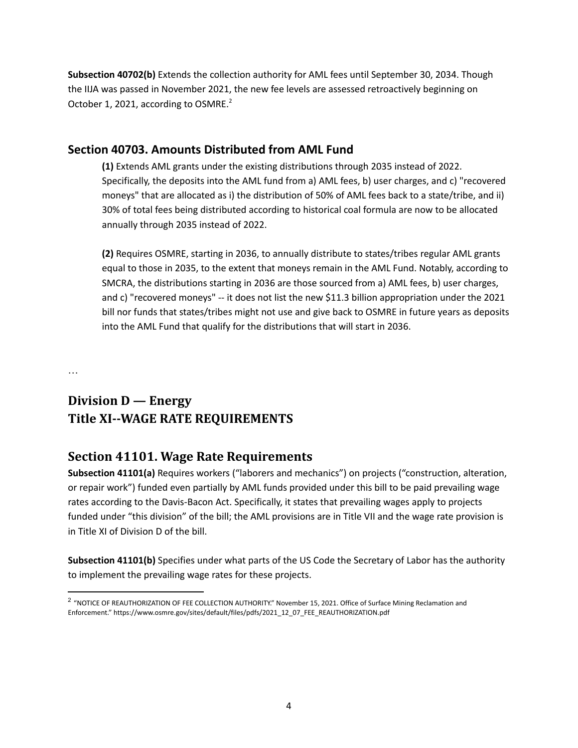**Subsection 40702(b)** Extends the collection authority for AML fees until September 30, 2034. Though the IIJA was passed in November 2021, the new fee levels are assessed retroactively beginning on October 1, 2021, according to OSMRE.<sup>2</sup>

# **Section 40703. Amounts Distributed from AML Fund**

**(1)** Extends AML grants under the existing distributions through 2035 instead of 2022. Specifically, the deposits into the AML fund from a) AML fees, b) user charges, and c) "recovered moneys" that are allocated as i) the distribution of 50% of AML fees back to a state/tribe, and ii) 30% of total fees being distributed according to historical coal formula are now to be allocated annually through 2035 instead of 2022.

**(2)** Requires OSMRE, starting in 2036, to annually distribute to states/tribes regular AML grants equal to those in 2035, to the extent that moneys remain in the AML Fund. Notably, according to SMCRA, the distributions starting in 2036 are those sourced from a) AML fees, b) user charges, and c) "recovered moneys" -- it does not list the new \$11.3 billion appropriation under the 2021 bill nor funds that states/tribes might not use and give back to OSMRE in future years as deposits into the AML Fund that qualify for the distributions that will start in 2036.

…

# **Division D — Energy Title XI--WAGE RATE REQUIREMENTS**

# **Section 41101. Wage Rate Requirements**

**Subsection 41101(a)** Requires workers ("laborers and mechanics") on projects ("construction, alteration, or repair work") funded even partially by AML funds provided under this bill to be paid prevailing wage rates according to the Davis-Bacon Act. Specifically, it states that prevailing wages apply to projects funded under "this division" of the bill; the AML provisions are in Title VII and the wage rate provision is in Title XI of Division D of the bill.

**Subsection 41101(b)** Specifies under what parts of the US Code the Secretary of Labor has the authority to implement the prevailing wage rates for these projects.

 $^2$  "NOTICE OF REAUTHORIZATION OF FEE COLLECTION AUTHORITY." November 15, 2021. Office of Surface Mining Reclamation and Enforcement." https://www.osmre.gov/sites/default/files/pdfs/2021\_12\_07\_FEE\_REAUTHORIZATION.pdf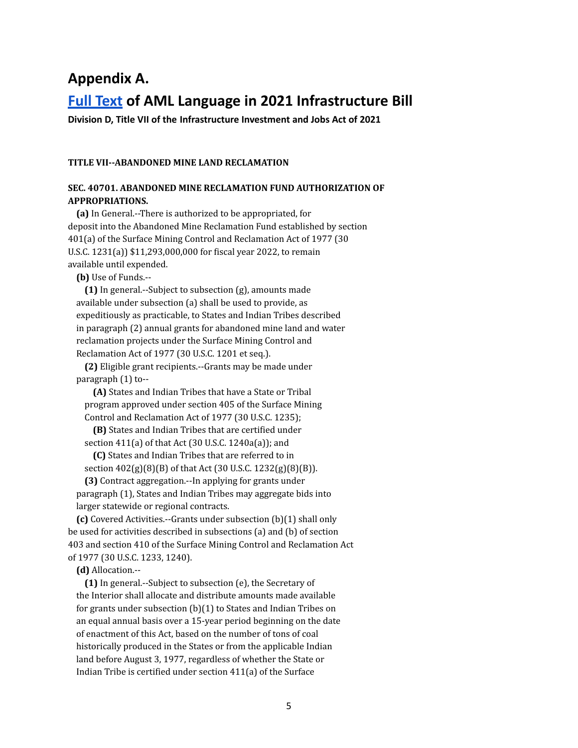# **Appendix A.**

# **Full [Text](https://www.congress.gov/bill/117th-congress/house-bill/3684/text) of AML Language in 2021 Infrastructure Bill**

**Division D, Title VII of the Infrastructure Investment and Jobs Act of 2021**

#### **TITLE VII--ABANDONED MINE LAND RECLAMATION**

#### **SEC. 40701. ABANDONED MINE RECLAMATION FUND AUTHORIZATION OF APPROPRIATIONS.**

**(a)** In General.--There is authorized to be appropriated, for deposit into the Abandoned Mine Reclamation Fund established by section 401(a) of the Surface Mining Control and Reclamation Act of 1977 (30 U.S.C. 1231(a)) \$11,293,000,000 for fiscal year 2022, to remain available until expended.

**(b)** Use of Funds.--

**(1)** In general.--Subject to subsection (g), amounts made available under subsection (a) shall be used to provide, as expeditiously as practicable, to States and Indian Tribes described in paragraph (2) annual grants for abandoned mine land and water reclamation projects under the Surface Mining Control and Reclamation Act of 1977 (30 U.S.C. 1201 et seq.).

**(2)** Eligible grant recipients.--Grants may be made under paragraph (1) to--

**(A)** States and Indian Tribes that have a State or Tribal program approved under section 405 of the Surface Mining Control and Reclamation Act of 1977 (30 U.S.C. 1235);

**(B)** States and Indian Tribes that are certified under section 411(a) of that Act (30 U.S.C. 1240a(a)); and

**(C)** States and Indian Tribes that are referred to in section 402(g)(8)(B) of that Act (30 U.S.C. 1232(g)(8)(B)). **(3)** Contract aggregation.--In applying for grants under

paragraph (1), States and Indian Tribes may aggregate bids into larger statewide or regional contracts.

**(c)** Covered Activities.--Grants under subsection (b)(1) shall only be used for activities described in subsections (a) and (b) of section 403 and section 410 of the Surface Mining Control and Reclamation Act of 1977 (30 U.S.C. 1233, 1240).

**(d)** Allocation.--

**(1)** In general.--Subject to subsection (e), the Secretary of the Interior shall allocate and distribute amounts made available for grants under subsection (b)(1) to States and Indian Tribes on an equal annual basis over a 15-year period beginning on the date of enactment of this Act, based on the number of tons of coal historically produced in the States or from the applicable Indian land before August 3, 1977, regardless of whether the State or Indian Tribe is certified under section 411(a) of the Surface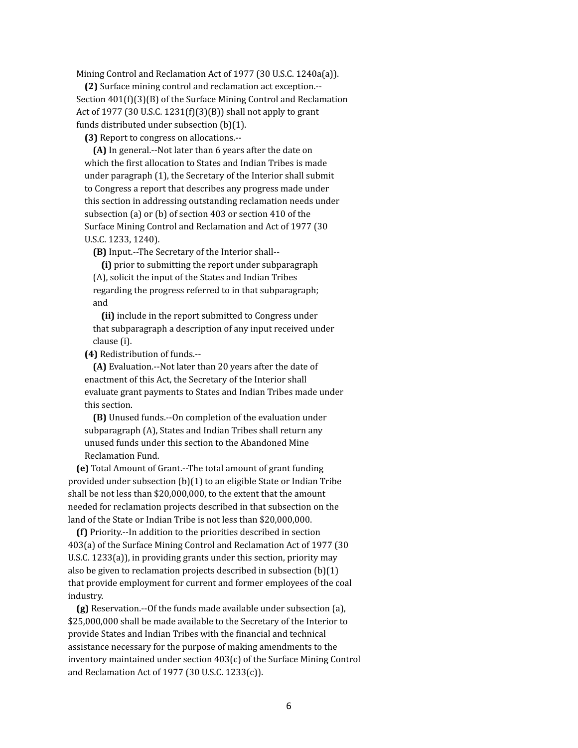Mining Control and Reclamation Act of 1977 (30 U.S.C. 1240a(a)).

**(2)** Surface mining control and reclamation act exception.-- Section 401(f)(3)(B) of the Surface Mining Control and Reclamation Act of 1977 (30 U.S.C. 1231(f)(3)(B)) shall not apply to grant funds distributed under subsection (b)(1).

**(3)** Report to congress on allocations.--

**(A)** In general.--Not later than 6 years after the date on which the first allocation to States and Indian Tribes is made under paragraph (1), the Secretary of the Interior shall submit to Congress a report that describes any progress made under this section in addressing outstanding reclamation needs under subsection (a) or (b) of section 403 or section 410 of the Surface Mining Control and Reclamation and Act of 1977 (30 U.S.C. 1233, 1240).

**(B)** Input.--The Secretary of the Interior shall--

**(i)** prior to submitting the report under subparagraph (A), solicit the input of the States and Indian Tribes regarding the progress referred to in that subparagraph; and

**(ii)** include in the report submitted to Congress under that subparagraph a description of any input received under clause (i).

**(4)** Redistribution of funds.--

**(A)** Evaluation.--Not later than 20 years after the date of enactment of this Act, the Secretary of the Interior shall evaluate grant payments to States and Indian Tribes made under this section.

**(B)** Unused funds.--On completion of the evaluation under subparagraph (A), States and Indian Tribes shall return any unused funds under this section to the Abandoned Mine Reclamation Fund.

**(e)** Total Amount of Grant.--The total amount of grant funding provided under subsection (b)(1) to an eligible State or Indian Tribe shall be not less than \$20,000,000, to the extent that the amount needed for reclamation projects described in that subsection on the land of the State or Indian Tribe is not less than \$20,000,000.

**(f)** Priority.--In addition to the priorities described in section 403(a) of the Surface Mining Control and Reclamation Act of 1977 (30 U.S.C. 1233(a)), in providing grants under this section, priority may also be given to reclamation projects described in subsection (b)(1) that provide employment for current and former employees of the coal industry.

**(g)** Reservation.--Of the funds made available under subsection (a), \$25,000,000 shall be made available to the Secretary of the Interior to provide States and Indian Tribes with the financial and technical assistance necessary for the purpose of making amendments to the inventory maintained under section 403(c) of the Surface Mining Control and Reclamation Act of 1977 (30 U.S.C. 1233(c)).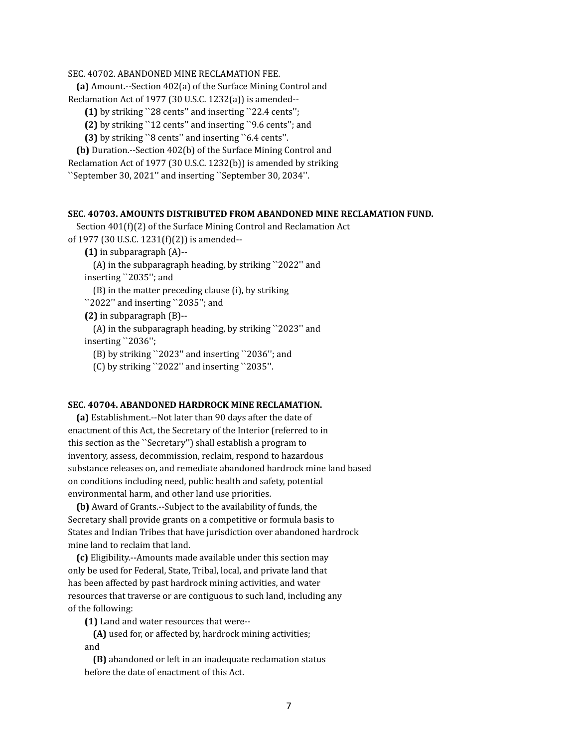SEC. 40702. ABANDONED MINE RECLAMATION FEE.

**(a)** Amount.--Section 402(a) of the Surface Mining Control and

Reclamation Act of 1977 (30 U.S.C. 1232(a)) is amended--

**(1)** by striking ``28 cents'' and inserting ``22.4 cents'';

**(2)** by striking ``12 cents'' and inserting ``9.6 cents''; and

**(3)** by striking ``8 cents'' and inserting ``6.4 cents''.

**(b)** Duration.--Section 402(b) of the Surface Mining Control and

Reclamation Act of 1977 (30 U.S.C. 1232(b)) is amended by striking

``September 30, 2021'' and inserting ``September 30, 2034''.

#### **SEC. 40703. AMOUNTS DISTRIBUTED FROM ABANDONED MINE RECLAMATION FUND.**

Section 401(f)(2) of the Surface Mining Control and Reclamation Act of 1977 (30 U.S.C. 1231(f)(2)) is amended--

**(1)** in subparagraph (A)--

(A) in the subparagraph heading, by striking ``2022'' and inserting ``2035''; and

(B) in the matter preceding clause (i), by striking

``2022'' and inserting ``2035''; and

**(2)** in subparagraph (B)--

(A) in the subparagraph heading, by striking ``2023'' and inserting ``2036'';

(B) by striking ``2023'' and inserting ``2036''; and

(C) by striking ``2022'' and inserting ``2035''.

#### **SEC. 40704. ABANDONED HARDROCK MINE RECLAMATION.**

**(a)** Establishment.--Not later than 90 days after the date of enactment of this Act, the Secretary of the Interior (referred to in this section as the ``Secretary'') shall establish a program to inventory, assess, decommission, reclaim, respond to hazardous substance releases on, and remediate abandoned hardrock mine land based on conditions including need, public health and safety, potential environmental harm, and other land use priorities.

**(b)** Award of Grants.--Subject to the availability of funds, the Secretary shall provide grants on a competitive or formula basis to States and Indian Tribes that have jurisdiction over abandoned hardrock mine land to reclaim that land.

**(c)** Eligibility.--Amounts made available under this section may only be used for Federal, State, Tribal, local, and private land that has been affected by past hardrock mining activities, and water resources that traverse or are contiguous to such land, including any of the following:

**(1)** Land and water resources that were--

**(A)** used for, or affected by, hardrock mining activities; and

**(B)** abandoned or left in an inadequate reclamation status before the date of enactment of this Act.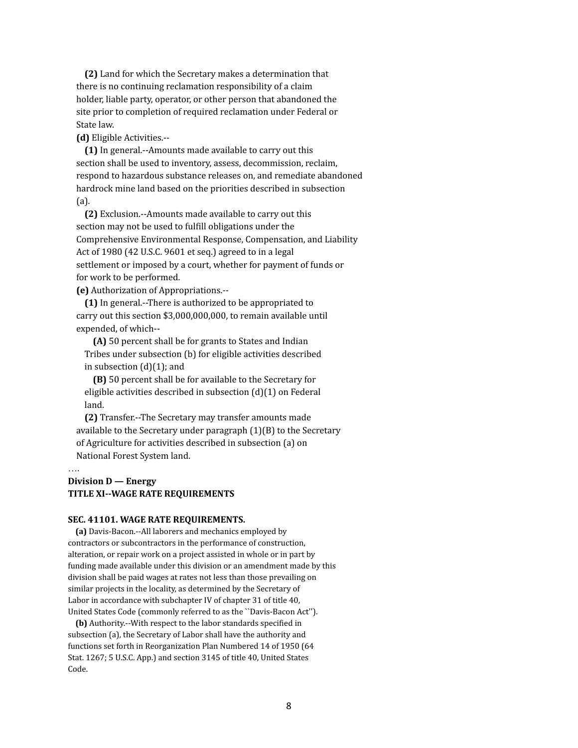**(2)** Land for which the Secretary makes a determination that there is no continuing reclamation responsibility of a claim holder, liable party, operator, or other person that abandoned the site prior to completion of required reclamation under Federal or State law.

**(d)** Eligible Activities.--

**(1)** In general.--Amounts made available to carry out this section shall be used to inventory, assess, decommission, reclaim, respond to hazardous substance releases on, and remediate abandoned hardrock mine land based on the priorities described in subsection (a).

**(2)** Exclusion.--Amounts made available to carry out this section may not be used to fulfill obligations under the Comprehensive Environmental Response, Compensation, and Liability Act of 1980 (42 U.S.C. 9601 et seq.) agreed to in a legal settlement or imposed by a court, whether for payment of funds or for work to be performed.

**(e)** Authorization of Appropriations.--

**(1)** In general.--There is authorized to be appropriated to carry out this section \$3,000,000,000, to remain available until expended, of which--

**(A)** 50 percent shall be for grants to States and Indian Tribes under subsection (b) for eligible activities described in subsection (d)(1); and

**(B)** 50 percent shall be for available to the Secretary for eligible activities described in subsection (d)(1) on Federal land.

**(2)** Transfer.--The Secretary may transfer amounts made available to the Secretary under paragraph (1)(B) to the Secretary of Agriculture for activities described in subsection (a) on National Forest System land.

#### ….

### **Division D — Energy TITLE XI--WAGE RATE REQUIREMENTS**

#### **SEC. 41101. WAGE RATE REQUIREMENTS.**

**(a)** Davis-Bacon.--All laborers and mechanics employed by contractors or subcontractors in the performance of construction, alteration, or repair work on a project assisted in whole or in part by funding made available under this division or an amendment made by this division shall be paid wages at rates not less than those prevailing on similar projects in the locality, as determined by the Secretary of Labor in accordance with subchapter IV of chapter 31 of title 40, United States Code (commonly referred to as the ``Davis-Bacon Act'').

**(b)** Authority.--With respect to the labor standards specified in subsection (a), the Secretary of Labor shall have the authority and functions set forth in Reorganization Plan Numbered 14 of 1950 (64 Stat. 1267; 5 U.S.C. App.) and section 3145 of title 40, United States Code.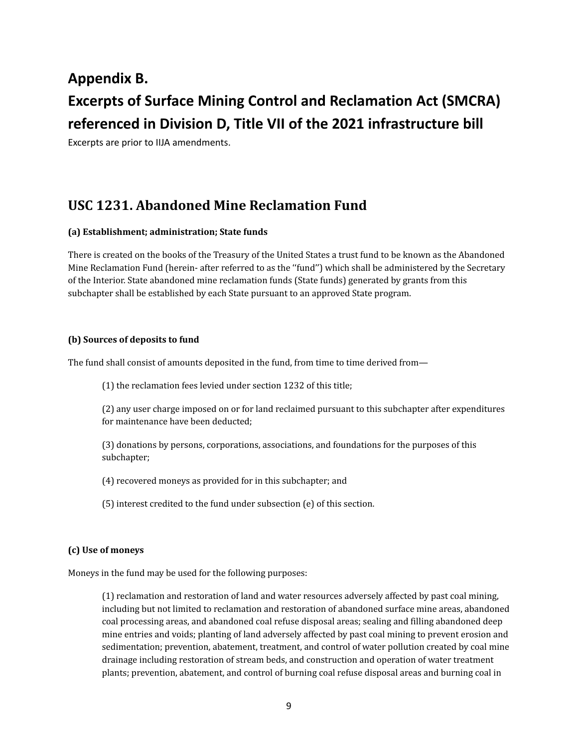# **Appendix B. Excerpts of Surface Mining Control and Reclamation Act (SMCRA) referenced in Division D, Title VII of the 2021 infrastructure bill**

Excerpts are prior to IIJA amendments.

# **USC 1231. Abandoned Mine Reclamation Fund**

#### **(a) Establishment; administration; State funds**

There is created on the books of the Treasury of the United States a trust fund to be known as the Abandoned Mine Reclamation Fund (herein- after referred to as the ''fund'') which shall be administered by the Secretary of the Interior. State abandoned mine reclamation funds (State funds) generated by grants from this subchapter shall be established by each State pursuant to an approved State program.

#### **(b) Sources of deposits to fund**

The fund shall consist of amounts deposited in the fund, from time to time derived from—

(1) the reclamation fees levied under section 1232 of this title;

(2) any user charge imposed on or for land reclaimed pursuant to this subchapter after expenditures for maintenance have been deducted;

(3) donations by persons, corporations, associations, and foundations for the purposes of this subchapter;

- (4) recovered moneys as provided for in this subchapter; and
- (5) interest credited to the fund under subsection (e) of this section.

#### **(c) Use of moneys**

Moneys in the fund may be used for the following purposes:

(1) reclamation and restoration of land and water resources adversely affected by past coal mining, including but not limited to reclamation and restoration of abandoned surface mine areas, abandoned coal processing areas, and abandoned coal refuse disposal areas; sealing and filling abandoned deep mine entries and voids; planting of land adversely affected by past coal mining to prevent erosion and sedimentation; prevention, abatement, treatment, and control of water pollution created by coal mine drainage including restoration of stream beds, and construction and operation of water treatment plants; prevention, abatement, and control of burning coal refuse disposal areas and burning coal in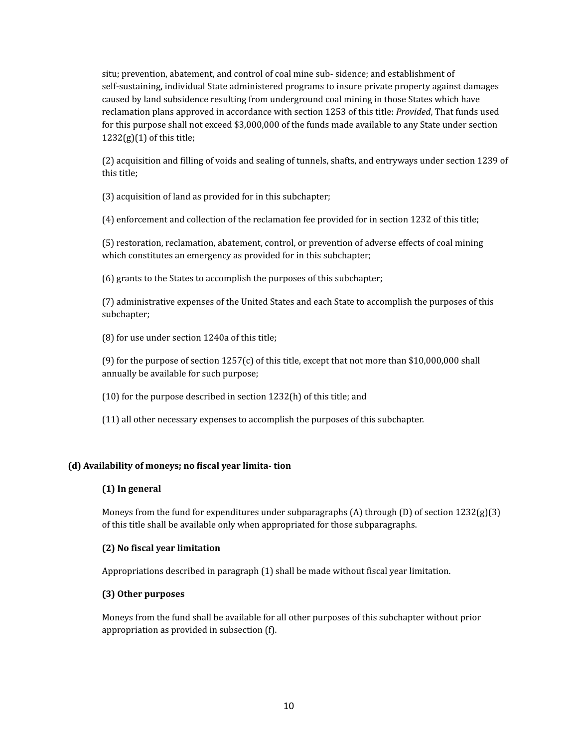situ; prevention, abatement, and control of coal mine sub- sidence; and establishment of self-sustaining, individual State administered programs to insure private property against damages caused by land subsidence resulting from underground coal mining in those States which have reclamation plans approved in accordance with section 1253 of this title: *Provided*, That funds used for this purpose shall not exceed \$3,000,000 of the funds made available to any State under section  $1232(g)(1)$  of this title;

(2) acquisition and filling of voids and sealing of tunnels, shafts, and entryways under section 1239 of this title;

(3) acquisition of land as provided for in this subchapter;

(4) enforcement and collection of the reclamation fee provided for in section 1232 of this title;

(5) restoration, reclamation, abatement, control, or prevention of adverse effects of coal mining which constitutes an emergency as provided for in this subchapter;

(6) grants to the States to accomplish the purposes of this subchapter;

(7) administrative expenses of the United States and each State to accomplish the purposes of this subchapter;

(8) for use under section 1240a of this title;

(9) for the purpose of section  $1257(c)$  of this title, except that not more than \$10,000,000 shall annually be available for such purpose;

(10) for the purpose described in section 1232(h) of this title; and

(11) all other necessary expenses to accomplish the purposes of this subchapter.

#### **(d) Availability of moneys; no fiscal year limita- tion**

#### **(1) In general**

Moneys from the fund for expenditures under subparagraphs (A) through (D) of section  $1232(g)(3)$ of this title shall be available only when appropriated for those subparagraphs.

#### **(2) No fiscal year limitation**

Appropriations described in paragraph (1) shall be made without fiscal year limitation.

#### **(3) Other purposes**

Moneys from the fund shall be available for all other purposes of this subchapter without prior appropriation as provided in subsection (f).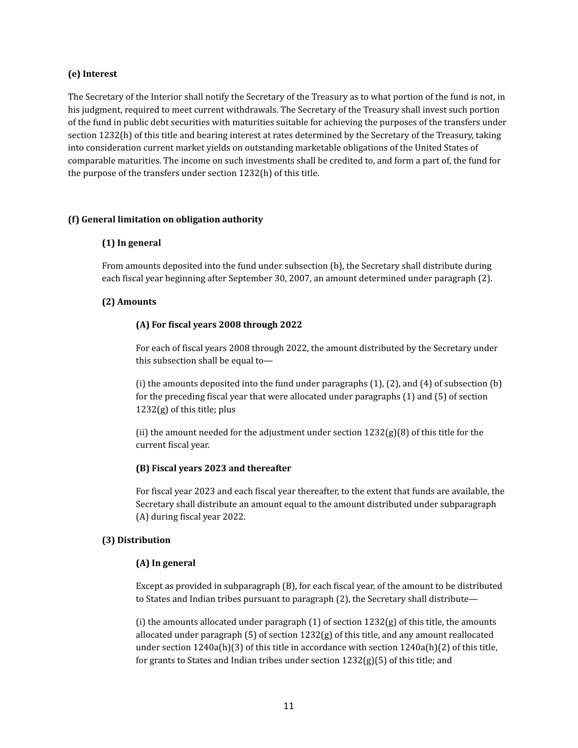#### **(e) Interest**

The Secretary of the Interior shall notify the Secretary of the Treasury as to what portion of the fund is not, in his judgment, required to meet current withdrawals. The Secretary of the Treasury shall invest such portion of the fund in public debt securities with maturities suitable for achieving the purposes of the transfers under section 1232(h) of this title and bearing interest at rates determined by the Secretary of the Treasury, taking into consideration current market yields on outstanding marketable obligations of the United States of comparable maturities. The income on such investments shall be credited to, and form a part of, the fund for the purpose of the transfers under section 1232(h) of this title.

#### **(f) General limitation on obligation authority**

#### **(1) In general**

From amounts deposited into the fund under subsection (b), the Secretary shall distribute during each fiscal year beginning after September 30, 2007, an amount determined under paragraph (2).

#### **(2) Amounts**

#### **(A) For fiscal years 2008 through 2022**

For each of fiscal years 2008 through 2022, the amount distributed by the Secretary under this subsection shall be equal to—

(i) the amounts deposited into the fund under paragraphs  $(1)$ ,  $(2)$ , and  $(4)$  of subsection  $(b)$ for the preceding fiscal year that were allocated under paragraphs (1) and (5) of section 1232(g) of this title; plus

(ii) the amount needed for the adjustment under section  $1232(g)(8)$  of this title for the current fiscal year.

#### **(B) Fiscal years 2023 and thereafter**

For fiscal year 2023 and each fiscal year thereafter, to the extent that funds are available, the Secretary shall distribute an amount equal to the amount distributed under subparagraph (A) during fiscal year 2022.

#### **(3) Distribution**

#### **(A) In general**

Except as provided in subparagraph (B), for each fiscal year, of the amount to be distributed to States and Indian tribes pursuant to paragraph (2), the Secretary shall distribute—

(i) the amounts allocated under paragraph (1) of section 1232(g) of this title, the amounts allocated under paragraph  $(5)$  of section 1232 $(g)$  of this title, and any amount reallocated under section  $1240a(h)(3)$  of this title in accordance with section  $1240a(h)(2)$  of this title, for grants to States and Indian tribes under section  $1232(g)(5)$  of this title; and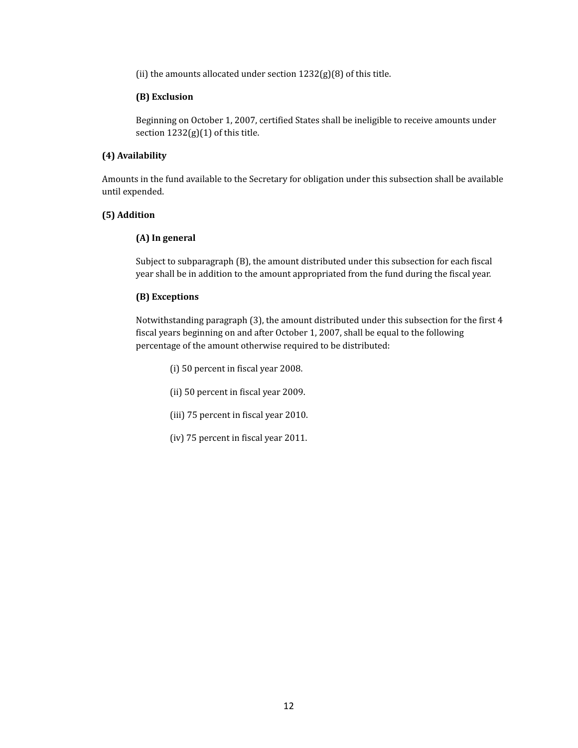(ii) the amounts allocated under section  $1232(g)(8)$  of this title.

#### **(B) Exclusion**

Beginning on October 1, 2007, certified States shall be ineligible to receive amounts under section  $1232(g)(1)$  of this title.

#### **(4) Availability**

Amounts in the fund available to the Secretary for obligation under this subsection shall be available until expended.

#### **(5) Addition**

#### **(A) In general**

Subject to subparagraph (B), the amount distributed under this subsection for each fiscal year shall be in addition to the amount appropriated from the fund during the fiscal year.

#### **(B) Exceptions**

Notwithstanding paragraph (3), the amount distributed under this subsection for the first 4 fiscal years beginning on and after October 1, 2007, shall be equal to the following percentage of the amount otherwise required to be distributed:

- (i) 50 percent in fiscal year 2008.
- (ii) 50 percent in fiscal year 2009.
- (iii) 75 percent in fiscal year 2010.
- (iv) 75 percent in fiscal year 2011.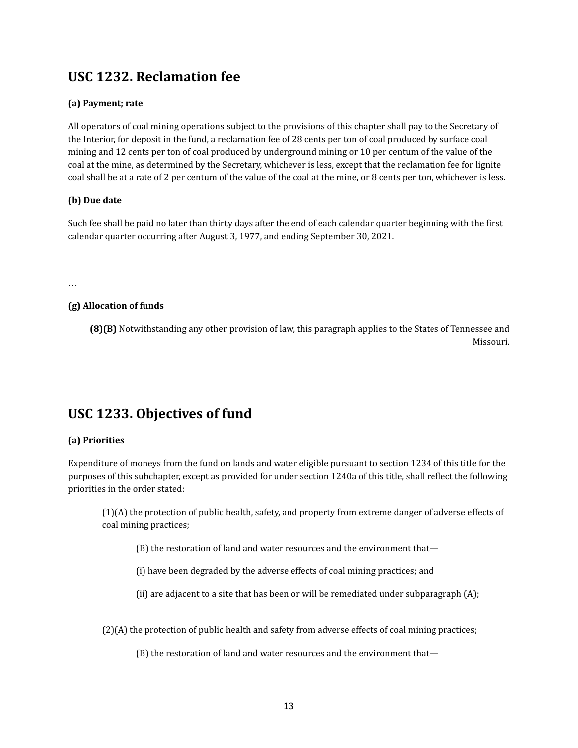# **USC 1232. Reclamation fee**

# **(a) Payment; rate**

All operators of coal mining operations subject to the provisions of this chapter shall pay to the Secretary of the Interior, for deposit in the fund, a reclamation fee of 28 cents per ton of coal produced by surface coal mining and 12 cents per ton of coal produced by underground mining or 10 per centum of the value of the coal at the mine, as determined by the Secretary, whichever is less, except that the reclamation fee for lignite coal shall be at a rate of 2 per centum of the value of the coal at the mine, or 8 cents per ton, whichever is less.

# **(b) Due date**

Such fee shall be paid no later than thirty days after the end of each calendar quarter beginning with the first calendar quarter occurring after August 3, 1977, and ending September 30, 2021.

…

# **(g) Allocation of funds**

**(8)(B)** Notwithstanding any other provision of law, this paragraph applies to the States of Tennessee and Missouri.

# **USC 1233. Objectives of fund**

# **(a) Priorities**

Expenditure of moneys from the fund on lands and water eligible pursuant to section 1234 of this title for the purposes of this subchapter, except as provided for under section 1240a of this title, shall reflect the following priorities in the order stated:

(1)(A) the protection of public health, safety, and property from extreme danger of adverse effects of coal mining practices;

(B) the restoration of land and water resources and the environment that—

(i) have been degraded by the adverse effects of coal mining practices; and

(ii) are adjacent to a site that has been or will be remediated under subparagraph (A);

(2)(A) the protection of public health and safety from adverse effects of coal mining practices;

(B) the restoration of land and water resources and the environment that—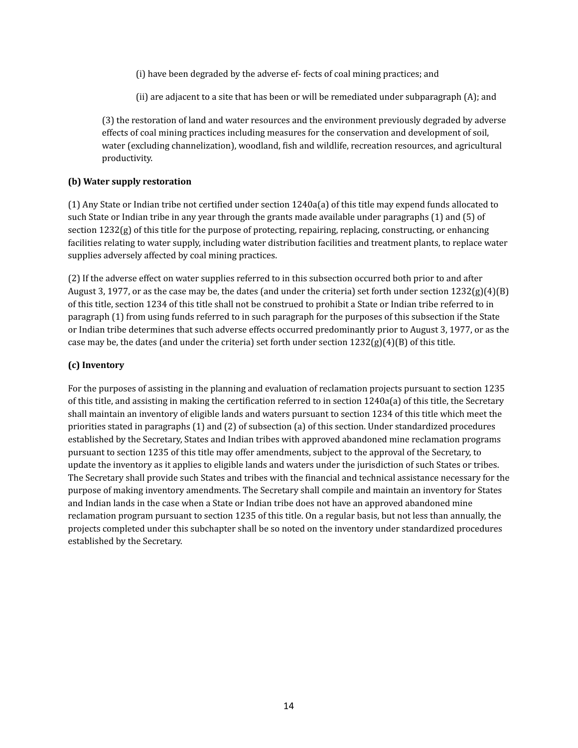(i) have been degraded by the adverse ef- fects of coal mining practices; and

(ii) are adjacent to a site that has been or will be remediated under subparagraph (A); and

(3) the restoration of land and water resources and the environment previously degraded by adverse effects of coal mining practices including measures for the conservation and development of soil, water (excluding channelization), woodland, fish and wildlife, recreation resources, and agricultural productivity.

# **(b) Water supply restoration**

(1) Any State or Indian tribe not certified under section 1240a(a) of this title may expend funds allocated to such State or Indian tribe in any year through the grants made available under paragraphs (1) and (5) of section 1232(g) of this title for the purpose of protecting, repairing, replacing, constructing, or enhancing facilities relating to water supply, including water distribution facilities and treatment plants, to replace water supplies adversely affected by coal mining practices.

(2) If the adverse effect on water supplies referred to in this subsection occurred both prior to and after August 3, 1977, or as the case may be, the dates (and under the criteria) set forth under section 1232(g)(4)(B) of this title, section 1234 of this title shall not be construed to prohibit a State or Indian tribe referred to in paragraph (1) from using funds referred to in such paragraph for the purposes of this subsection if the State or Indian tribe determines that such adverse effects occurred predominantly prior to August 3, 1977, or as the case may be, the dates (and under the criteria) set forth under section  $1232(g)(4)(B)$  of this title.

# **(c) Inventory**

For the purposes of assisting in the planning and evaluation of reclamation projects pursuant to section 1235 of this title, and assisting in making the certification referred to in section 1240a(a) of this title, the Secretary shall maintain an inventory of eligible lands and waters pursuant to section 1234 of this title which meet the priorities stated in paragraphs (1) and (2) of subsection (a) of this section. Under standardized procedures established by the Secretary, States and Indian tribes with approved abandoned mine reclamation programs pursuant to section 1235 of this title may offer amendments, subject to the approval of the Secretary, to update the inventory as it applies to eligible lands and waters under the jurisdiction of such States or tribes. The Secretary shall provide such States and tribes with the financial and technical assistance necessary for the purpose of making inventory amendments. The Secretary shall compile and maintain an inventory for States and Indian lands in the case when a State or Indian tribe does not have an approved abandoned mine reclamation program pursuant to section 1235 of this title. On a regular basis, but not less than annually, the projects completed under this subchapter shall be so noted on the inventory under standardized procedures established by the Secretary.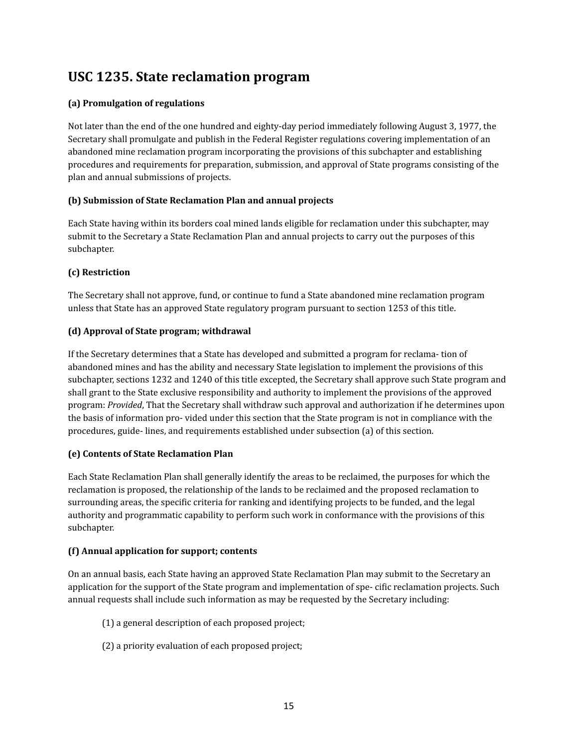# **USC 1235. State reclamation program**

# **(a) Promulgation of regulations**

Not later than the end of the one hundred and eighty-day period immediately following August 3, 1977, the Secretary shall promulgate and publish in the Federal Register regulations covering implementation of an abandoned mine reclamation program incorporating the provisions of this subchapter and establishing procedures and requirements for preparation, submission, and approval of State programs consisting of the plan and annual submissions of projects.

# **(b) Submission of State Reclamation Plan and annual projects**

Each State having within its borders coal mined lands eligible for reclamation under this subchapter, may submit to the Secretary a State Reclamation Plan and annual projects to carry out the purposes of this subchapter.

# **(c) Restriction**

The Secretary shall not approve, fund, or continue to fund a State abandoned mine reclamation program unless that State has an approved State regulatory program pursuant to section 1253 of this title.

# **(d) Approval of State program; withdrawal**

If the Secretary determines that a State has developed and submitted a program for reclama- tion of abandoned mines and has the ability and necessary State legislation to implement the provisions of this subchapter, sections 1232 and 1240 of this title excepted, the Secretary shall approve such State program and shall grant to the State exclusive responsibility and authority to implement the provisions of the approved program: *Provided*, That the Secretary shall withdraw such approval and authorization if he determines upon the basis of information pro- vided under this section that the State program is not in compliance with the procedures, guide- lines, and requirements established under subsection (a) of this section.

# **(e) Contents of State Reclamation Plan**

Each State Reclamation Plan shall generally identify the areas to be reclaimed, the purposes for which the reclamation is proposed, the relationship of the lands to be reclaimed and the proposed reclamation to surrounding areas, the specific criteria for ranking and identifying projects to be funded, and the legal authority and programmatic capability to perform such work in conformance with the provisions of this subchapter.

# **(f) Annual application for support; contents**

On an annual basis, each State having an approved State Reclamation Plan may submit to the Secretary an application for the support of the State program and implementation of spe- cific reclamation projects. Such annual requests shall include such information as may be requested by the Secretary including:

- (1) a general description of each proposed project;
- (2) a priority evaluation of each proposed project;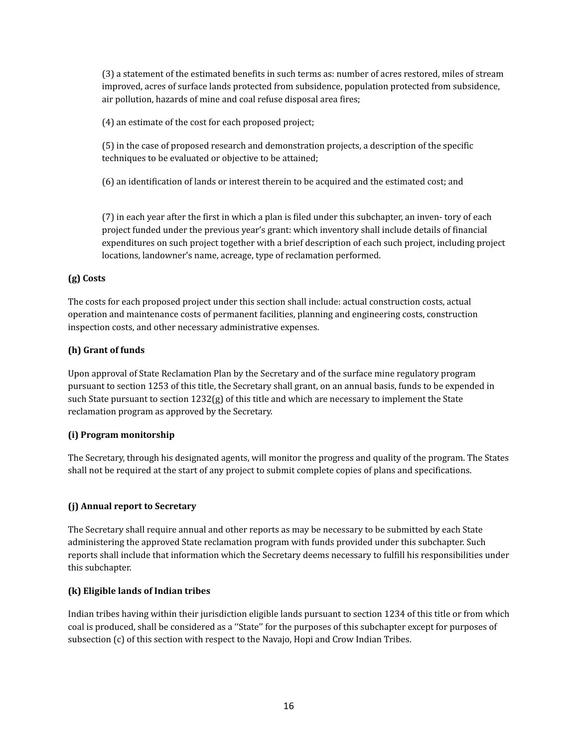(3) a statement of the estimated benefits in such terms as: number of acres restored, miles of stream improved, acres of surface lands protected from subsidence, population protected from subsidence, air pollution, hazards of mine and coal refuse disposal area fires;

(4) an estimate of the cost for each proposed project;

(5) in the case of proposed research and demonstration projects, a description of the specific techniques to be evaluated or objective to be attained;

(6) an identification of lands or interest therein to be acquired and the estimated cost; and

(7) in each year after the first in which a plan is filed under this subchapter, an inven- tory of each project funded under the previous year's grant: which inventory shall include details of financial expenditures on such project together with a brief description of each such project, including project locations, landowner's name, acreage, type of reclamation performed.

# **(g) Costs**

The costs for each proposed project under this section shall include: actual construction costs, actual operation and maintenance costs of permanent facilities, planning and engineering costs, construction inspection costs, and other necessary administrative expenses.

# **(h) Grant of funds**

Upon approval of State Reclamation Plan by the Secretary and of the surface mine regulatory program pursuant to section 1253 of this title, the Secretary shall grant, on an annual basis, funds to be expended in such State pursuant to section 1232(g) of this title and which are necessary to implement the State reclamation program as approved by the Secretary.

# **(i) Program monitorship**

The Secretary, through his designated agents, will monitor the progress and quality of the program. The States shall not be required at the start of any project to submit complete copies of plans and specifications.

# **(j) Annual report to Secretary**

The Secretary shall require annual and other reports as may be necessary to be submitted by each State administering the approved State reclamation program with funds provided under this subchapter. Such reports shall include that information which the Secretary deems necessary to fulfill his responsibilities under this subchapter.

# **(k) Eligible lands of Indian tribes**

Indian tribes having within their jurisdiction eligible lands pursuant to section 1234 of this title or from which coal is produced, shall be considered as a ''State'' for the purposes of this subchapter except for purposes of subsection (c) of this section with respect to the Navajo, Hopi and Crow Indian Tribes.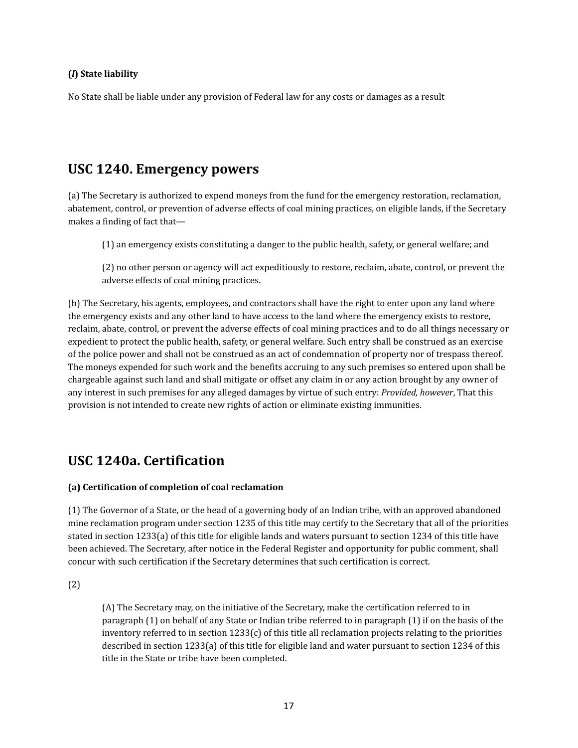# **(***l***) State liability**

No State shall be liable under any provision of Federal law for any costs or damages as a result

# **USC 1240. Emergency powers**

(a) The Secretary is authorized to expend moneys from the fund for the emergency restoration, reclamation, abatement, control, or prevention of adverse effects of coal mining practices, on eligible lands, if the Secretary makes a finding of fact that—

(1) an emergency exists constituting a danger to the public health, safety, or general welfare; and

(2) no other person or agency will act expeditiously to restore, reclaim, abate, control, or prevent the adverse effects of coal mining practices.

(b) The Secretary, his agents, employees, and contractors shall have the right to enter upon any land where the emergency exists and any other land to have access to the land where the emergency exists to restore, reclaim, abate, control, or prevent the adverse effects of coal mining practices and to do all things necessary or expedient to protect the public health, safety, or general welfare. Such entry shall be construed as an exercise of the police power and shall not be construed as an act of condemnation of property nor of trespass thereof. The moneys expended for such work and the benefits accruing to any such premises so entered upon shall be chargeable against such land and shall mitigate or offset any claim in or any action brought by any owner of any interest in such premises for any alleged damages by virtue of such entry: *Provided, however*, That this provision is not intended to create new rights of action or eliminate existing immunities.

# **USC 1240a. Certification**

# **(a) Certification of completion of coal reclamation**

(1) The Governor of a State, or the head of a governing body of an Indian tribe, with an approved abandoned mine reclamation program under section 1235 of this title may certify to the Secretary that all of the priorities stated in section 1233(a) of this title for eligible lands and waters pursuant to section 1234 of this title have been achieved. The Secretary, after notice in the Federal Register and opportunity for public comment, shall concur with such certification if the Secretary determines that such certification is correct.

(2)

(A) The Secretary may, on the initiative of the Secretary, make the certification referred to in paragraph (1) on behalf of any State or Indian tribe referred to in paragraph (1) if on the basis of the inventory referred to in section  $1233(c)$  of this title all reclamation projects relating to the priorities described in section 1233(a) of this title for eligible land and water pursuant to section 1234 of this title in the State or tribe have been completed.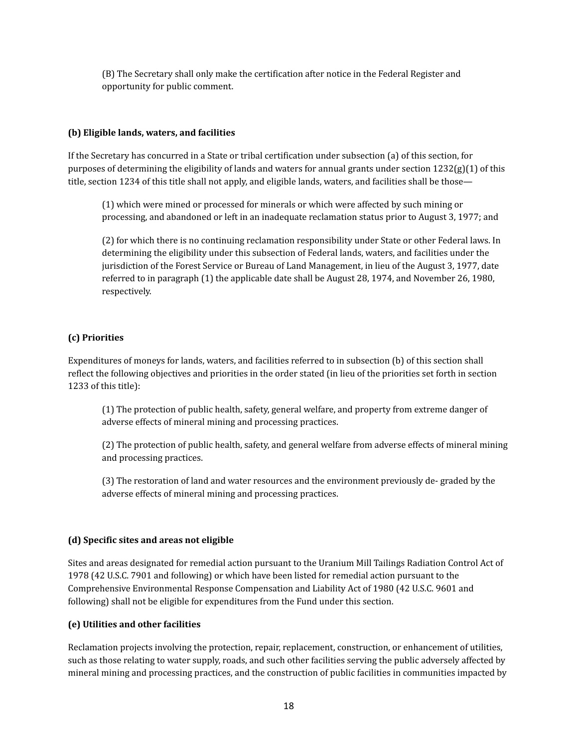(B) The Secretary shall only make the certification after notice in the Federal Register and opportunity for public comment.

# **(b) Eligible lands, waters, and facilities**

If the Secretary has concurred in a State or tribal certification under subsection (a) of this section, for purposes of determining the eligibility of lands and waters for annual grants under section  $1232(g)(1)$  of this title, section 1234 of this title shall not apply, and eligible lands, waters, and facilities shall be those—

(1) which were mined or processed for minerals or which were affected by such mining or processing, and abandoned or left in an inadequate reclamation status prior to August 3, 1977; and

(2) for which there is no continuing reclamation responsibility under State or other Federal laws. In determining the eligibility under this subsection of Federal lands, waters, and facilities under the jurisdiction of the Forest Service or Bureau of Land Management, in lieu of the August 3, 1977, date referred to in paragraph (1) the applicable date shall be August 28, 1974, and November 26, 1980, respectively.

# **(c) Priorities**

Expenditures of moneys for lands, waters, and facilities referred to in subsection (b) of this section shall reflect the following objectives and priorities in the order stated (in lieu of the priorities set forth in section 1233 of this title):

(1) The protection of public health, safety, general welfare, and property from extreme danger of adverse effects of mineral mining and processing practices.

(2) The protection of public health, safety, and general welfare from adverse effects of mineral mining and processing practices.

(3) The restoration of land and water resources and the environment previously de- graded by the adverse effects of mineral mining and processing practices.

# **(d) Specific sites and areas not eligible**

Sites and areas designated for remedial action pursuant to the Uranium Mill Tailings Radiation Control Act of 1978 (42 U.S.C. 7901 and following) or which have been listed for remedial action pursuant to the Comprehensive Environmental Response Compensation and Liability Act of 1980 (42 U.S.C. 9601 and following) shall not be eligible for expenditures from the Fund under this section.

# **(e) Utilities and other facilities**

Reclamation projects involving the protection, repair, replacement, construction, or enhancement of utilities, such as those relating to water supply, roads, and such other facilities serving the public adversely affected by mineral mining and processing practices, and the construction of public facilities in communities impacted by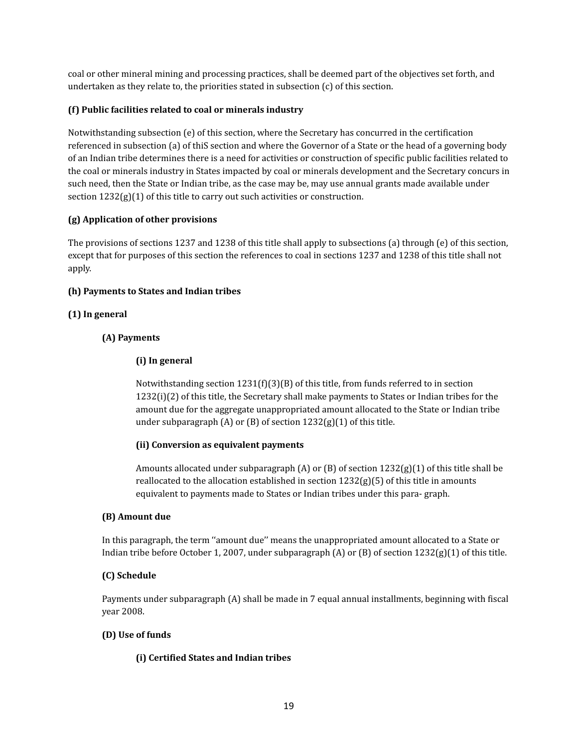coal or other mineral mining and processing practices, shall be deemed part of the objectives set forth, and undertaken as they relate to, the priorities stated in subsection (c) of this section.

# **(f) Public facilities related to coal or minerals industry**

Notwithstanding subsection (e) of this section, where the Secretary has concurred in the certification referenced in subsection (a) of thiS section and where the Governor of a State or the head of a governing body of an Indian tribe determines there is a need for activities or construction of specific public facilities related to the coal or minerals industry in States impacted by coal or minerals development and the Secretary concurs in such need, then the State or Indian tribe, as the case may be, may use annual grants made available under section  $1232(g)(1)$  of this title to carry out such activities or construction.

# **(g) Application of other provisions**

The provisions of sections 1237 and 1238 of this title shall apply to subsections (a) through (e) of this section, except that for purposes of this section the references to coal in sections 1237 and 1238 of this title shall not apply.

# **(h) Payments to States and Indian tribes**

# **(1) In general**

# **(A) Payments**

# **(i) In general**

Notwithstanding section  $1231(f)(3)(B)$  of this title, from funds referred to in section  $1232(i)(2)$  of this title, the Secretary shall make payments to States or Indian tribes for the amount due for the aggregate unappropriated amount allocated to the State or Indian tribe under subparagraph  $(A)$  or  $(B)$  of section  $1232(g)(1)$  of this title.

# **(ii) Conversion as equivalent payments**

Amounts allocated under subparagraph (A) or (B) of section  $1232(g)(1)$  of this title shall be reallocated to the allocation established in section  $1232(g)(5)$  of this title in amounts equivalent to payments made to States or Indian tribes under this para- graph.

# **(B) Amount due**

In this paragraph, the term ''amount due'' means the unappropriated amount allocated to a State or Indian tribe before October 1, 2007, under subparagraph (A) or (B) of section  $1232(g)(1)$  of this title.

# **(C) Schedule**

Payments under subparagraph (A) shall be made in 7 equal annual installments, beginning with fiscal year 2008.

# **(D) Use of funds**

# **(i) Certified States and Indian tribes**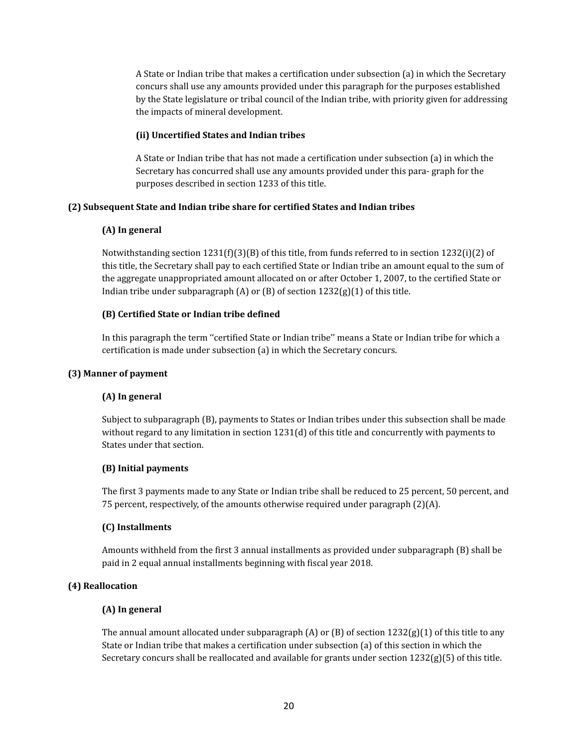A State or Indian tribe that makes a certification under subsection (a) in which the Secretary concurs shall use any amounts provided under this paragraph for the purposes established by the State legislature or tribal council of the Indian tribe, with priority given for addressing the impacts of mineral development.

### **(ii) Uncertified States and Indian tribes**

A State or Indian tribe that has not made a certification under subsection (a) in which the Secretary has concurred shall use any amounts provided under this para- graph for the purposes described in section 1233 of this title.

#### **(2) Subsequent State and Indian tribe share for certified States and Indian tribes**

#### **(A) In general**

Notwithstanding section 1231(f)(3)(B) of this title, from funds referred to in section 1232(i)(2) of this title, the Secretary shall pay to each certified State or Indian tribe an amount equal to the sum of the aggregate unappropriated amount allocated on or after October 1, 2007, to the certified State or Indian tribe under subparagraph (A) or (B) of section 1232(g)(1) of this title.

#### **(B) Certified State or Indian tribe defined**

In this paragraph the term ''certified State or Indian tribe'' means a State or Indian tribe for which a certification is made under subsection (a) in which the Secretary concurs.

#### **(3) Manner of payment**

#### **(A) In general**

Subject to subparagraph (B), payments to States or Indian tribes under this subsection shall be made without regard to any limitation in section 1231(d) of this title and concurrently with payments to States under that section.

#### **(B) Initial payments**

The first 3 payments made to any State or Indian tribe shall be reduced to 25 percent, 50 percent, and 75 percent, respectively, of the amounts otherwise required under paragraph (2)(A).

#### **(C) Installments**

Amounts withheld from the first 3 annual installments as provided under subparagraph (B) shall be paid in 2 equal annual installments beginning with fiscal year 2018.

#### **(4) Reallocation**

#### **(A) In general**

The annual amount allocated under subparagraph (A) or (B) of section  $1232(g)(1)$  of this title to any State or Indian tribe that makes a certification under subsection (a) of this section in which the Secretary concurs shall be reallocated and available for grants under section  $1232(g)(5)$  of this title.